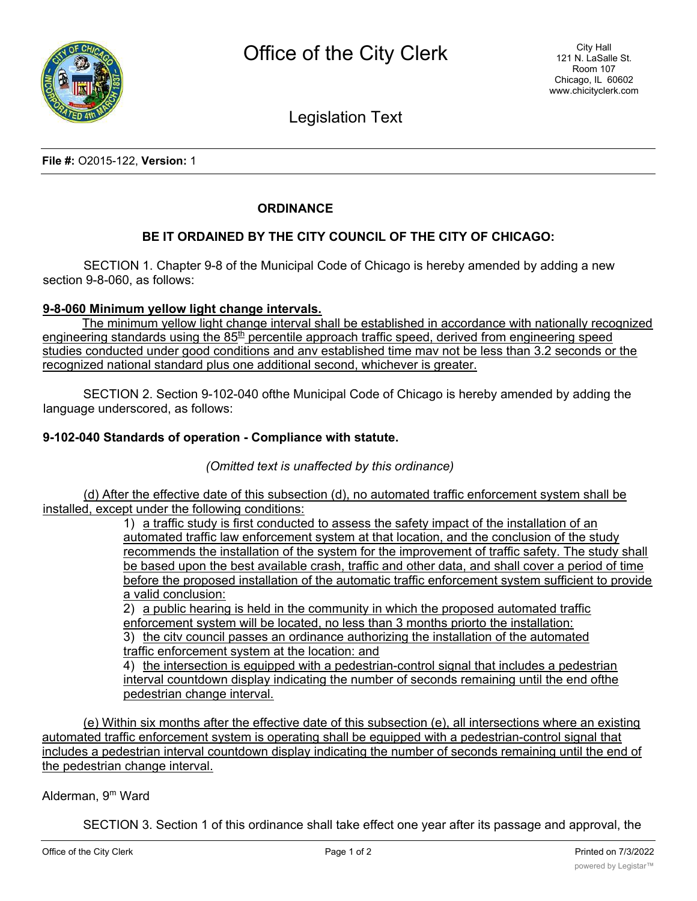

Legislation Text

**File #:** O2015-122, **Version:** 1

## **ORDINANCE**

## **BE IT ORDAINED BY THE CITY COUNCIL OF THE CITY OF CHICAGO:**

SECTION 1. Chapter 9-8 of the Municipal Code of Chicago is hereby amended by adding a new section 9-8-060, as follows:

#### **9-8-060 Minimum yellow light change intervals.**

The minimum yellow light change interval shall be established in accordance with nationally recognized engineering standards using the 85<sup>th</sup> percentile approach traffic speed, derived from engineering speed studies conducted under good conditions and anv established time mav not be less than 3.2 seconds or the recognized national standard plus one additional second, whichever is greater.

SECTION 2. Section 9-102-040 ofthe Municipal Code of Chicago is hereby amended by adding the language underscored, as follows:

#### **9-102-040 Standards of operation - Compliance with statute.**

*(Omitted text is unaffected by this ordinance)*

(d) After the effective date of this subsection (d), no automated traffic enforcement system shall be installed, except under the following conditions:

> 1) a traffic study is first conducted to assess the safety impact of the installation of an automated traffic law enforcement system at that location, and the conclusion of the study recommends the installation of the system for the improvement of traffic safety. The study shall be based upon the best available crash, traffic and other data, and shall cover a period of time before the proposed installation of the automatic traffic enforcement system sufficient to provide a valid conclusion:

2) a public hearing is held in the community in which the proposed automated traffic enforcement system will be located, no less than 3 months priorto the installation: 3) the citv council passes an ordinance authorizing the installation of the automated traffic enforcement system at the location: and

4) the intersection is eguipped with a pedestrian-control signal that includes a pedestrian interval countdown display indicating the number of seconds remaining until the end ofthe pedestrian change interval.

(e) Within six months after the effective date of this subsection (e), all intersections where an existing automated traffic enforcement system is operating shall be eguipped with a pedestrian-control signal that includes a pedestrian interval countdown display indicating the number of seconds remaining until the end of the pedestrian change interval.

### Alderman, 9m Ward

SECTION 3. Section 1 of this ordinance shall take effect one year after its passage and approval, the